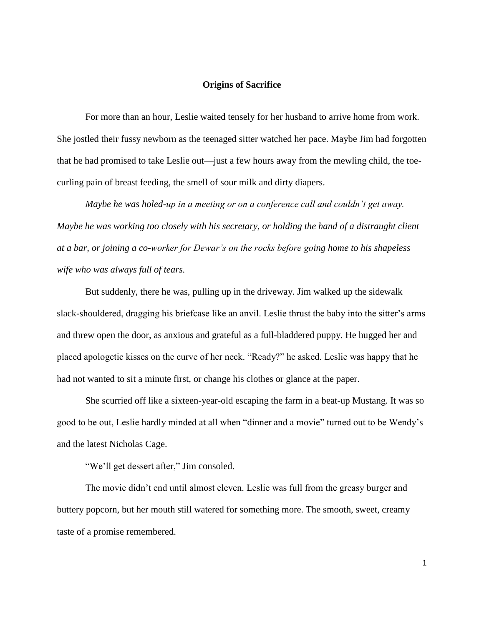## **Origins of Sacrifice**

For more than an hour, Leslie waited tensely for her husband to arrive home from work. She jostled their fussy newborn as the teenaged sitter watched her pace. Maybe Jim had forgotten that he had promised to take Leslie out—just a few hours away from the mewling child, the toecurling pain of breast feeding, the smell of sour milk and dirty diapers.

*Maybe he was holed-up in a meeting or on a conference call and couldn't get away. Maybe he was working too closely with his secretary, or holding the hand of a distraught client at a bar, or joining a co-worker for Dewar's on the rocks before going home to his shapeless wife who was always full of tears.*

But suddenly, there he was, pulling up in the driveway. Jim walked up the sidewalk slack-shouldered, dragging his briefcase like an anvil. Leslie thrust the baby into the sitter's arms and threw open the door, as anxious and grateful as a full-bladdered puppy. He hugged her and placed apologetic kisses on the curve of her neck. "Ready?" he asked. Leslie was happy that he had not wanted to sit a minute first, or change his clothes or glance at the paper.

She scurried off like a sixteen-year-old escaping the farm in a beat-up Mustang. It was so good to be out, Leslie hardly minded at all when "dinner and a movie" turned out to be Wendy's and the latest Nicholas Cage.

"We'll get dessert after," Jim consoled.

The movie didn't end until almost eleven. Leslie was full from the greasy burger and buttery popcorn, but her mouth still watered for something more. The smooth, sweet, creamy taste of a promise remembered.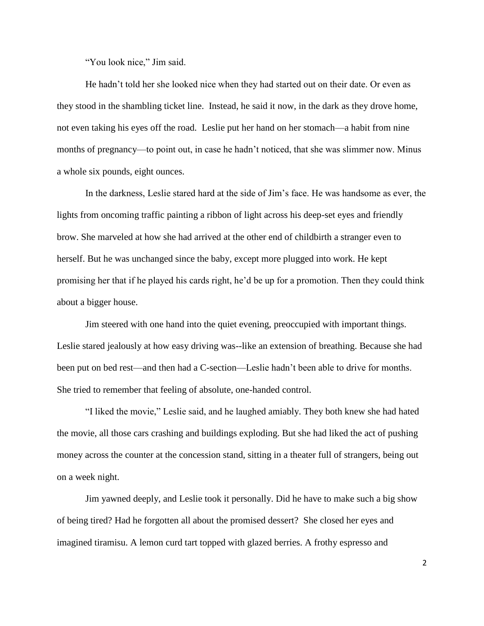"You look nice," Jim said.

He hadn't told her she looked nice when they had started out on their date. Or even as they stood in the shambling ticket line. Instead, he said it now, in the dark as they drove home, not even taking his eyes off the road. Leslie put her hand on her stomach—a habit from nine months of pregnancy—to point out, in case he hadn't noticed, that she was slimmer now. Minus a whole six pounds, eight ounces.

In the darkness, Leslie stared hard at the side of Jim's face. He was handsome as ever, the lights from oncoming traffic painting a ribbon of light across his deep-set eyes and friendly brow. She marveled at how she had arrived at the other end of childbirth a stranger even to herself. But he was unchanged since the baby, except more plugged into work. He kept promising her that if he played his cards right, he'd be up for a promotion. Then they could think about a bigger house.

Jim steered with one hand into the quiet evening, preoccupied with important things. Leslie stared jealously at how easy driving was--like an extension of breathing. Because she had been put on bed rest—and then had a C-section—Leslie hadn't been able to drive for months. She tried to remember that feeling of absolute, one-handed control.

"I liked the movie," Leslie said, and he laughed amiably. They both knew she had hated the movie, all those cars crashing and buildings exploding. But she had liked the act of pushing money across the counter at the concession stand, sitting in a theater full of strangers, being out on a week night.

Jim yawned deeply, and Leslie took it personally. Did he have to make such a big show of being tired? Had he forgotten all about the promised dessert? She closed her eyes and imagined tiramisu. A lemon curd tart topped with glazed berries. A frothy espresso and

2